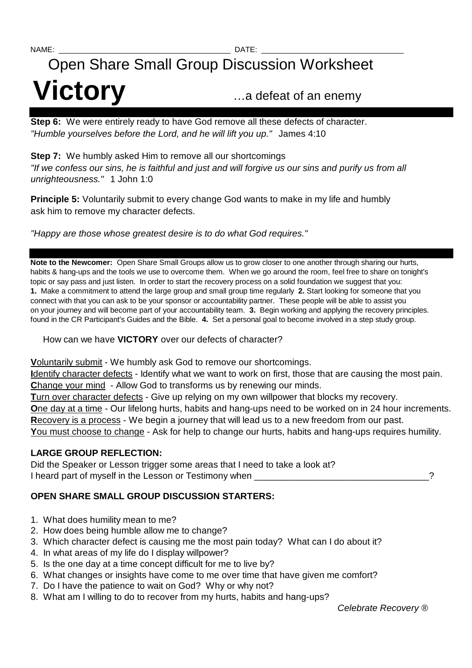# Open Share Small Group Discussion Worksheet **Victory** …a defeat of an enemy

**Step 6:** We were entirely ready to have God remove all these defects of character. "Humble yourselves before the Lord, and he will lift you up." James 4:10

**Step 7:** We humbly asked Him to remove all our shortcomings "If we confess our sins, he is faithful and just and will forgive us our sins and purify us from all unrighteousness." 1 John 1:0

**Principle 5:** Voluntarily submit to every change God wants to make in my life and humbly ask him to remove my character defects.

"Happy are those whose greatest desire is to do what God requires."

**Note to the Newcomer:** Open Share Small Groups allow us to grow closer to one another through sharing our hurts, habits & hang-ups and the tools we use to overcome them. When we go around the room, feel free to share on tonight's topic or say pass and just listen. In order to start the recovery process on a solid foundation we suggest that you: **1.** Make a commitment to attend the large group and small group time regularly **2.** Start looking for someone that you connect with that you can ask to be your sponsor or accountability partner. These people will be able to assist you on your journey and will become part of your accountability team. **3.** Begin working and applying the recovery principles. found in the CR Participant's Guides and the Bible. **4.** Set a personal goal to become involved in a step study group.

How can we have **VICTORY** over our defects of character?

**V**oluntarily submit - We humbly ask God to remove our shortcomings.

**I**dentify character defects - Identify what we want to work on first, those that are causing the most pain. **C**hange your mind - Allow God to transforms us by renewing our minds.

**T**urn over character defects - Give up relying on my own willpower that blocks my recovery.

**O**ne day at a time - Our lifelong hurts, habits and hang-ups need to be worked on in 24 hour increments. **R**ecovery is a process - We begin a journey that will lead us to a new freedom from our past.

**Y**ou must choose to change - Ask for help to change our hurts, habits and hang-ups requires humility.

### **LARGE GROUP REFLECTION:**

Did the Speaker or Lesson trigger some areas that I need to take a look at? I heard part of myself in the Lesson or Testimony when  $\sim$ 

## **OPEN SHARE SMALL GROUP DISCUSSION STARTERS:**

- 1. What does humility mean to me?
- 2. How does being humble allow me to change?
- 3. Which character defect is causing me the most pain today? What can I do about it?
- 4. In what areas of my life do I display willpower?
- 5. Is the one day at a time concept difficult for me to live by?
- 6. What changes or insights have come to me over time that have given me comfort?
- 7. Do I have the patience to wait on God? Why or why not?
- 8. What am I willing to do to recover from my hurts, habits and hang-ups?

Celebrate Recovery ®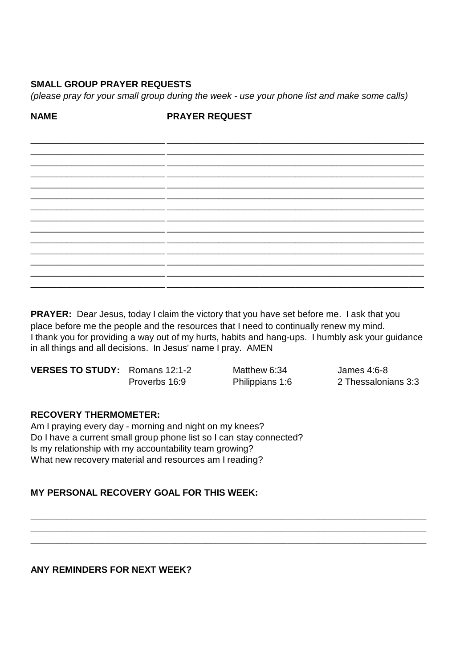#### **SMALL GROUP PRAYER REQUESTS**

(please pray for your small group during the week - use your phone list and make some calls)

**NAMF** 

**PRAYER REQUEST** 

PRAYER: Dear Jesus, today I claim the victory that you have set before me. I ask that you place before me the people and the resources that I need to continually renew my mind. I thank you for providing a way out of my hurts, habits and hang-ups. I humbly ask your guidance in all things and all decisions. In Jesus' name I pray. AMEN

VERSES TO STUDY: Romans 12:1-2 Proverbs 16:9

Matthew 6:34 Philippians 1:6 James 4:6-8 2 Thessalonians 3:3

#### **RECOVERY THERMOMETER:**

Am I praying every day - morning and night on my knees? Do I have a current small group phone list so I can stay connected? Is my relationship with my accountability team growing? What new recovery material and resources am I reading?

#### **MY PERSONAL RECOVERY GOAL FOR THIS WEEK:**

**ANY REMINDERS FOR NEXT WEEK?**